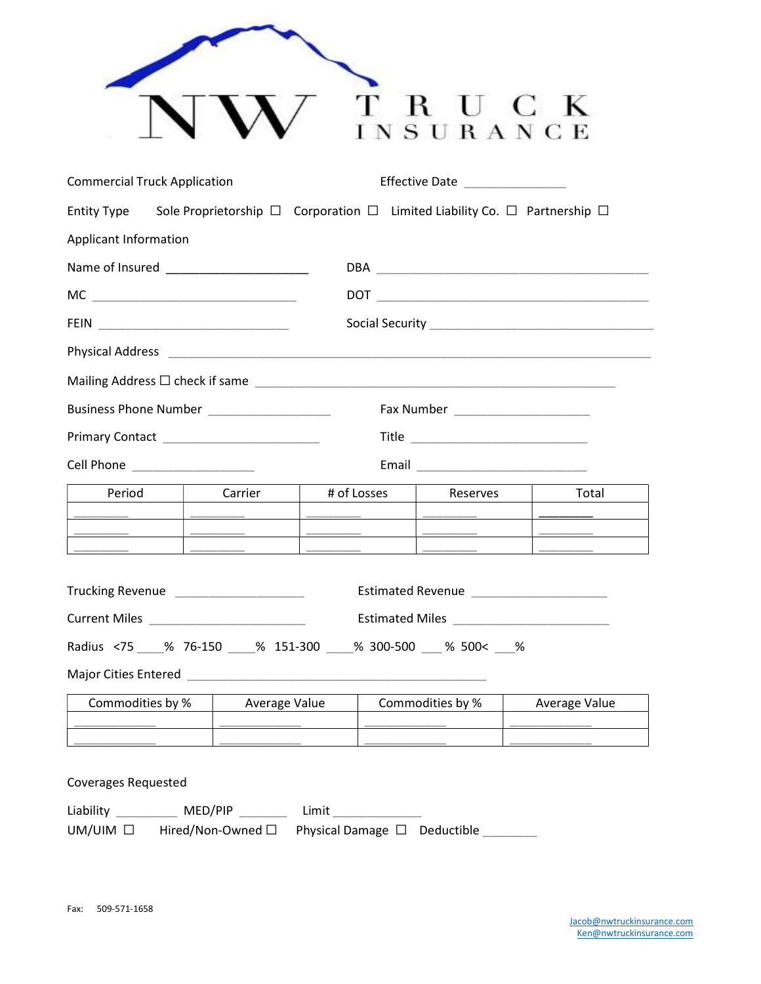|                                                                                                           |                                                                                                                                                                                                                                                                                                                                                                                                                                                                                   |                                                                                                                                                                                                                                                                                                                                                                                                                                                                   |                        | гвиск<br>NSURANCE                                                                                                                                                                                                                          |  |                      |
|-----------------------------------------------------------------------------------------------------------|-----------------------------------------------------------------------------------------------------------------------------------------------------------------------------------------------------------------------------------------------------------------------------------------------------------------------------------------------------------------------------------------------------------------------------------------------------------------------------------|-------------------------------------------------------------------------------------------------------------------------------------------------------------------------------------------------------------------------------------------------------------------------------------------------------------------------------------------------------------------------------------------------------------------------------------------------------------------|------------------------|--------------------------------------------------------------------------------------------------------------------------------------------------------------------------------------------------------------------------------------------|--|----------------------|
| <b>Commercial Truck Application</b><br>Effective Date _______________                                     |                                                                                                                                                                                                                                                                                                                                                                                                                                                                                   |                                                                                                                                                                                                                                                                                                                                                                                                                                                                   |                        |                                                                                                                                                                                                                                            |  |                      |
| Entity Type Sole Proprietorship $\Box$ Corporation $\Box$ Limited Liability Co. $\Box$ Partnership $\Box$ |                                                                                                                                                                                                                                                                                                                                                                                                                                                                                   |                                                                                                                                                                                                                                                                                                                                                                                                                                                                   |                        |                                                                                                                                                                                                                                            |  |                      |
| Applicant Information                                                                                     |                                                                                                                                                                                                                                                                                                                                                                                                                                                                                   |                                                                                                                                                                                                                                                                                                                                                                                                                                                                   |                        |                                                                                                                                                                                                                                            |  |                      |
|                                                                                                           |                                                                                                                                                                                                                                                                                                                                                                                                                                                                                   |                                                                                                                                                                                                                                                                                                                                                                                                                                                                   |                        |                                                                                                                                                                                                                                            |  |                      |
|                                                                                                           |                                                                                                                                                                                                                                                                                                                                                                                                                                                                                   |                                                                                                                                                                                                                                                                                                                                                                                                                                                                   |                        |                                                                                                                                                                                                                                            |  |                      |
|                                                                                                           |                                                                                                                                                                                                                                                                                                                                                                                                                                                                                   |                                                                                                                                                                                                                                                                                                                                                                                                                                                                   |                        |                                                                                                                                                                                                                                            |  |                      |
|                                                                                                           |                                                                                                                                                                                                                                                                                                                                                                                                                                                                                   |                                                                                                                                                                                                                                                                                                                                                                                                                                                                   |                        |                                                                                                                                                                                                                                            |  |                      |
|                                                                                                           |                                                                                                                                                                                                                                                                                                                                                                                                                                                                                   |                                                                                                                                                                                                                                                                                                                                                                                                                                                                   |                        |                                                                                                                                                                                                                                            |  |                      |
| Business Phone Number ___________________                                                                 |                                                                                                                                                                                                                                                                                                                                                                                                                                                                                   |                                                                                                                                                                                                                                                                                                                                                                                                                                                                   |                        |                                                                                                                                                                                                                                            |  |                      |
|                                                                                                           |                                                                                                                                                                                                                                                                                                                                                                                                                                                                                   |                                                                                                                                                                                                                                                                                                                                                                                                                                                                   |                        |                                                                                                                                                                                                                                            |  |                      |
| Cell Phone ____________________                                                                           |                                                                                                                                                                                                                                                                                                                                                                                                                                                                                   |                                                                                                                                                                                                                                                                                                                                                                                                                                                                   |                        |                                                                                                                                                                                                                                            |  |                      |
| Period                                                                                                    | Carrier                                                                                                                                                                                                                                                                                                                                                                                                                                                                           | # of Losses                                                                                                                                                                                                                                                                                                                                                                                                                                                       |                        | Reserves                                                                                                                                                                                                                                   |  | Total                |
|                                                                                                           | $\begin{tabular}{lllllllllllllll} \multicolumn{3}{l}{} & \multicolumn{3}{l}{} & \multicolumn{3}{l}{} & \multicolumn{3}{l}{} & \multicolumn{3}{l}{} & \multicolumn{3}{l}{} & \multicolumn{3}{l}{} & \multicolumn{3}{l}{} & \multicolumn{3}{l}{} & \multicolumn{3}{l}{} & \multicolumn{3}{l}{} & \multicolumn{3}{l}{} & \multicolumn{3}{l}{} & \multicolumn{3}{l}{} & \multicolumn{3}{l}{} & \multicolumn{3}{l}{} & \multicolumn{3}{l}{} & \multicolumn{3}{l}{} & \multicolumn{3}{$ | $\begin{tabular}{ccccccccc} \multicolumn{2}{c }{\multicolumn{2}{c }{\multicolumn{2}{c }{\multicolumn{2}{c }{\multicolumn{2}{c }{\multicolumn{2}{c }{\multicolumn{2}{c }{\multicolumn{2}{c }{\multicolumn{2}{c }{\multicolumn{2}{c }{\multicolumn{2}{c }{\multicolumn{2}{c }{\multicolumn{2}{c }{\multicolumn{2}{c }{\multicolumn{2}{c }{\multicolumn{2}{c }{\multicolumn{2}{c }{\multicolumn{2}{c }{\multicolumn{2}{c }{\multicolumn{2}{c }{\multicolumn{2}{c }{$ |                        |                                                                                                                                                                                                                                            |  |                      |
|                                                                                                           |                                                                                                                                                                                                                                                                                                                                                                                                                                                                                   |                                                                                                                                                                                                                                                                                                                                                                                                                                                                   |                        | $\overline{\phantom{a}}$ . The contraction of the contract of the contract of the contract of the contract of the contract of the contract of the contract of the contract of the contract of the contract of the contract of the contract |  |                      |
| Trucking Revenue _____________________                                                                    |                                                                                                                                                                                                                                                                                                                                                                                                                                                                                   |                                                                                                                                                                                                                                                                                                                                                                                                                                                                   |                        |                                                                                                                                                                                                                                            |  |                      |
| Radius <75 ___ % 76-150 ___ % 151-300 ___ % 300-500 __ % 500< __ %                                        |                                                                                                                                                                                                                                                                                                                                                                                                                                                                                   |                                                                                                                                                                                                                                                                                                                                                                                                                                                                   |                        |                                                                                                                                                                                                                                            |  |                      |
|                                                                                                           |                                                                                                                                                                                                                                                                                                                                                                                                                                                                                   |                                                                                                                                                                                                                                                                                                                                                                                                                                                                   |                        |                                                                                                                                                                                                                                            |  |                      |
| Commodities by %                                                                                          | Average Value                                                                                                                                                                                                                                                                                                                                                                                                                                                                     |                                                                                                                                                                                                                                                                                                                                                                                                                                                                   | Commodities by %<br>Γ. |                                                                                                                                                                                                                                            |  | <b>Average Value</b> |
|                                                                                                           |                                                                                                                                                                                                                                                                                                                                                                                                                                                                                   |                                                                                                                                                                                                                                                                                                                                                                                                                                                                   |                        |                                                                                                                                                                                                                                            |  |                      |
| <b>Coverages Requested</b><br>Liability ___________ MED/PIP _________ Limit ______________                |                                                                                                                                                                                                                                                                                                                                                                                                                                                                                   |                                                                                                                                                                                                                                                                                                                                                                                                                                                                   |                        |                                                                                                                                                                                                                                            |  |                      |
| UM/UIM □ Hired/Non-Owned □ Physical Damage □ Deductible _______                                           |                                                                                                                                                                                                                                                                                                                                                                                                                                                                                   |                                                                                                                                                                                                                                                                                                                                                                                                                                                                   |                        |                                                                                                                                                                                                                                            |  |                      |